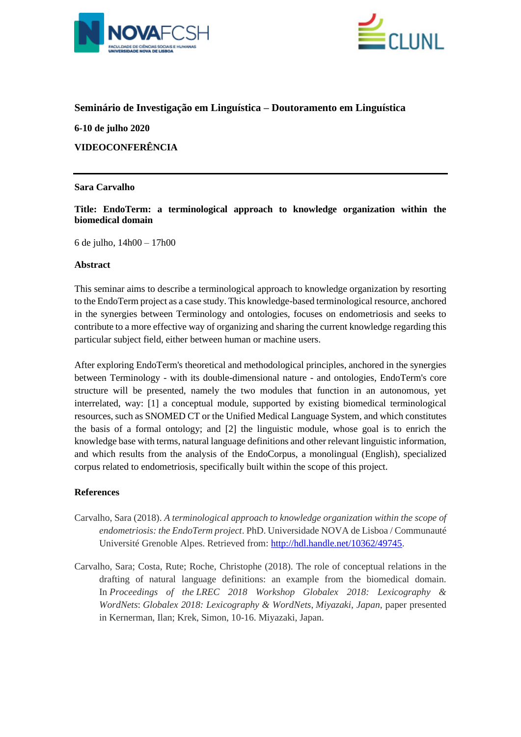



## **Seminário de Investigação em Linguística – Doutoramento em Linguística**

**6-10 de julho 2020 VIDEOCONFERÊNCIA**

## **Sara Carvalho**

**Title: EndoTerm: a terminological approach to knowledge organization within the biomedical domain**

6 de julho, 14h00 – 17h00

## **Abstract**

This seminar aims to describe a terminological approach to knowledge organization by resorting to the EndoTerm project as a case study. This knowledge-based terminological resource, anchored in the synergies between Terminology and ontologies, focuses on endometriosis and seeks to contribute to a more effective way of organizing and sharing the current knowledge regarding this particular subject field, either between human or machine users.

After exploring EndoTerm's theoretical and methodological principles, anchored in the synergies between Terminology - with its double-dimensional nature - and ontologies, EndoTerm's core structure will be presented, namely the two modules that function in an autonomous, yet interrelated, way: [1] a conceptual module, supported by existing biomedical terminological resources, such as SNOMED CT or the Unified Medical Language System, and which constitutes the basis of a formal ontology; and [2] the linguistic module, whose goal is to enrich the knowledge base with terms, natural language definitions and other relevant linguistic information, and which results from the analysis of the EndoCorpus, a monolingual (English), specialized corpus related to endometriosis, specifically built within the scope of this project.

# **References**

- Carvalho, Sara (2018). *A terminological approach to knowledge organization within the scope of endometriosis: the EndoTerm project*. PhD. Universidade NOVA de Lisboa / Communauté Université Grenoble Alpes. Retrieved from: [http://hdl.handle.net/10362/49745.](http://hdl.handle.net/10362/49745)
- Carvalho, Sara; Costa, Rute; Roche, Christophe (2018). The role of conceptual relations in the drafting of natural language definitions: an example from the biomedical domain. In *Proceedings of the LREC 2018 Workshop Globalex 2018: Lexicography & WordNets*: *Globalex 2018: Lexicography & WordNets*, *Miyazaki, Japan*, paper presented in Kernerman, Ilan; Krek, Simon, 10-16. Miyazaki, Japan.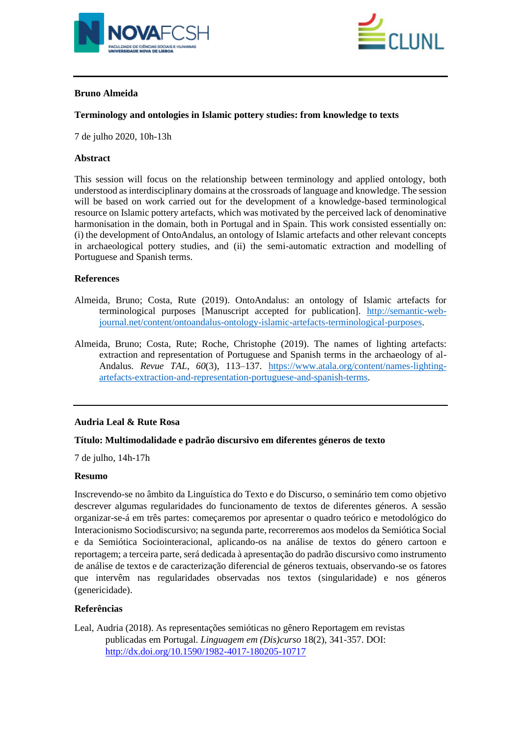



# **Bruno Almeida**

## **Terminology and ontologies in Islamic pottery studies: from knowledge to texts**

7 de julho 2020, 10h-13h

## **Abstract**

This session will focus on the relationship between terminology and applied ontology, both understood as interdisciplinary domains at the crossroads of language and knowledge. The session will be based on work carried out for the development of a knowledge-based terminological resource on Islamic pottery artefacts, which was motivated by the perceived lack of denominative harmonisation in the domain, both in Portugal and in Spain. This work consisted essentially on: (i) the development of OntoAndalus, an ontology of Islamic artefacts and other relevant concepts in archaeological pottery studies, and (ii) the semi-automatic extraction and modelling of Portuguese and Spanish terms.

## **References**

- Almeida, Bruno; Costa, Rute (2019). OntoAndalus: an ontology of Islamic artefacts for terminological purposes [Manuscript accepted for publication]. [http://semantic-web](http://semantic-web-journal.net/content/ontoandalus-ontology-islamic-artefacts-terminological-purposes)[journal.net/content/ontoandalus-ontology-islamic-artefacts-terminological-purposes.](http://semantic-web-journal.net/content/ontoandalus-ontology-islamic-artefacts-terminological-purposes)
- Almeida, Bruno; Costa, Rute; Roche, Christophe (2019). The names of lighting artefacts: extraction and representation of Portuguese and Spanish terms in the archaeology of al-Andalus. *Revue TAL*, *60*(3), 113–137. [https://www.atala.org/content/names-lighting](https://www.atala.org/content/names-lighting-artefacts-extraction-and-representation-portuguese-and-spanish-terms)[artefacts-extraction-and-representation-portuguese-and-spanish-terms.](https://www.atala.org/content/names-lighting-artefacts-extraction-and-representation-portuguese-and-spanish-terms)

### **Audria Leal & Rute Rosa**

### **Título: Multimodalidade e padrão discursivo em diferentes géneros de texto**

7 de julho, 14h-17h

### **Resumo**

Inscrevendo-se no âmbito da Linguística do Texto e do Discurso, o seminário tem como objetivo descrever algumas regularidades do funcionamento de textos de diferentes géneros. A sessão organizar-se-á em três partes: começaremos por apresentar o quadro teórico e metodológico do Interacionismo Sociodiscursivo; na segunda parte, recorreremos aos modelos da Semiótica Social e da Semiótica Sociointeracional, aplicando-os na análise de textos do género cartoon e reportagem; a terceira parte, será dedicada à apresentação do padrão discursivo como instrumento de análise de textos e de caracterização diferencial de géneros textuais, observando-se os fatores que intervêm nas regularidades observadas nos textos (singularidade) e nos géneros (genericidade).

### **Referências**

Leal, Audria (2018). As representações semióticas no gênero Reportagem em revistas publicadas em Portugal. *Linguagem em (Dis)curso* 18(2), 341-357. DOI: <http://dx.doi.org/10.1590/1982-4017-180205-10717>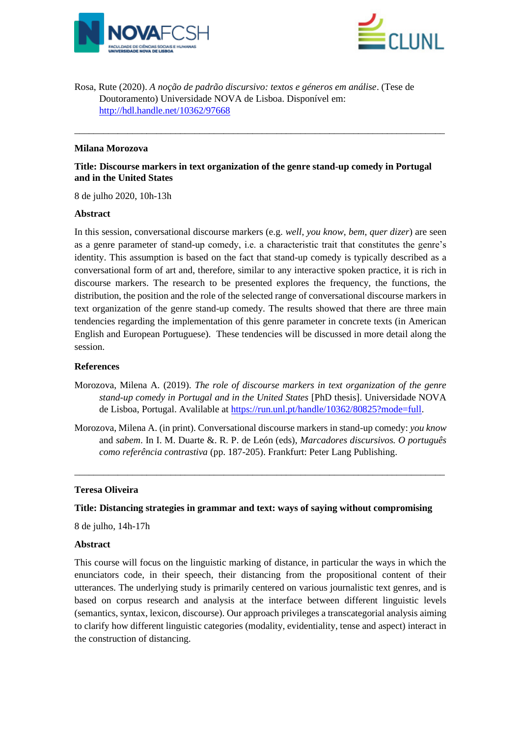



Rosa, Rute (2020). *A noção de padrão discursivo: textos e géneros em análise*. (Tese de Doutoramento) Universidade NOVA de Lisboa. Disponível em: <http://hdl.handle.net/10362/97668>

## **Milana Morozova**

## **Title: Discourse markers in text organization of the genre stand-up comedy in Portugal and in the United States**

\_\_\_\_\_\_\_\_\_\_\_\_\_\_\_\_\_\_\_\_\_\_\_\_\_\_\_\_\_\_\_\_\_\_\_\_\_\_\_\_\_\_\_\_\_\_\_\_\_\_\_\_\_\_\_\_\_\_\_\_\_\_\_\_\_\_\_\_\_\_\_\_\_\_\_\_\_

8 de julho 2020, 10h-13h

### **Abstract**

In this session, conversational discourse markers (e.g. *well*, *you know*, *bem*, *quer dizer*) are seen as a genre parameter of stand-up comedy, i.e. a characteristic trait that constitutes the genre's identity. This assumption is based on the fact that stand-up comedy is typically described as a conversational form of art and, therefore, similar to any interactive spoken practice, it is rich in discourse markers. The research to be presented explores the frequency, the functions, the distribution, the position and the role of the selected range of conversational discourse markers in text organization of the genre stand-up comedy. The results showed that there are three main tendencies regarding the implementation of this genre parameter in concrete texts (in American English and European Portuguese). These tendencies will be discussed in more detail along the session.

### **References**

- Morozova, Milena A. (2019). *The role of discourse markers in text organization of the genre stand-up comedy in Portugal and in the United States* [PhD thesis]. Universidade NOVA de Lisboa, Portugal. Avalilable at [https://run.unl.pt/handle/10362/80825?mode=full.](https://run.unl.pt/handle/10362/80825?mode=full)
- Morozova, Milena A. (in print). Conversational discourse markers in stand-up comedy: *you know* and *sabem*. In I. M. Duarte &. R. P. de León (eds), *Marcadores discursivos. O português como referência contrastiva* (pp. 187-205). Frankfurt: Peter Lang Publishing.

\_\_\_\_\_\_\_\_\_\_\_\_\_\_\_\_\_\_\_\_\_\_\_\_\_\_\_\_\_\_\_\_\_\_\_\_\_\_\_\_\_\_\_\_\_\_\_\_\_\_\_\_\_\_\_\_\_\_\_\_\_\_\_\_\_\_\_\_\_\_\_\_\_\_\_\_\_

#### **Teresa Oliveira**

### **Title: Distancing strategies in grammar and text: ways of saying without compromising**

8 de julho, 14h-17h

#### **Abstract**

This course will focus on the linguistic marking of distance, in particular the ways in which the enunciators code, in their speech, their distancing from the propositional content of their utterances. The underlying study is primarily centered on various journalistic text genres, and is based on corpus research and analysis at the interface between different linguistic levels (semantics, syntax, lexicon, discourse). Our approach privileges a transcategorial analysis aiming to clarify how different linguistic categories (modality, evidentiality, tense and aspect) interact in the construction of distancing.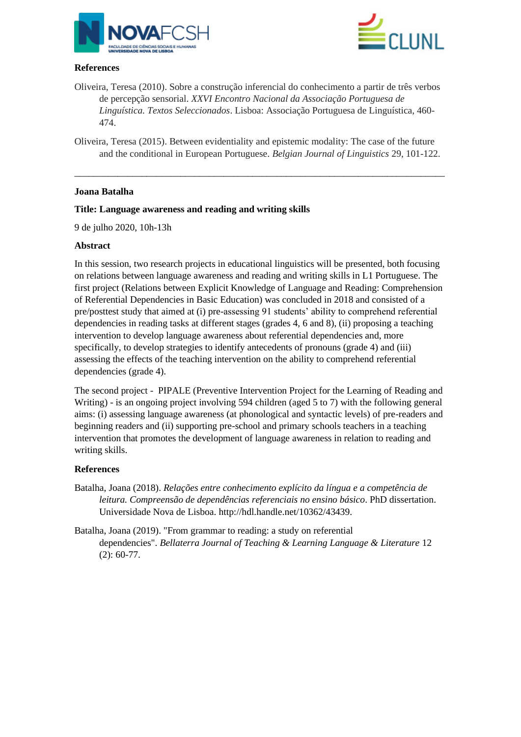



# **References**

- Oliveira, Teresa (2010). Sobre a construção inferencial do conhecimento a partir de três verbos de percepção sensorial. *XXVI Encontro Nacional da Associação Portuguesa de Linguística. Textos Seleccionados*. Lisboa: Associação Portuguesa de Linguística, 460- 474.
- Oliveira, Teresa (2015). Between evidentiality and epistemic modality: The case of the future and the conditional in European Portuguese. *Belgian Journal of Linguistics* 29, 101-122.

\_\_\_\_\_\_\_\_\_\_\_\_\_\_\_\_\_\_\_\_\_\_\_\_\_\_\_\_\_\_\_\_\_\_\_\_\_\_\_\_\_\_\_\_\_\_\_\_\_\_\_\_\_\_\_\_\_\_\_\_\_\_\_\_\_\_\_\_\_\_\_\_\_\_\_\_\_

## **Joana Batalha**

## **Title: Language awareness and reading and writing skills**

9 de julho 2020, 10h-13h

### **Abstract**

In this session, two research projects in educational linguistics will be presented, both focusing on relations between language awareness and reading and writing skills in L1 Portuguese. The first project (Relations between Explicit Knowledge of Language and Reading: Comprehension of Referential Dependencies in Basic Education) was concluded in 2018 and consisted of a pre/posttest study that aimed at (i) pre-assessing 91 students' ability to comprehend referential dependencies in reading tasks at different stages (grades 4, 6 and 8), (ii) proposing a teaching intervention to develop language awareness about referential dependencies and, more specifically, to develop strategies to identify antecedents of pronouns (grade 4) and (iii) assessing the effects of the teaching intervention on the ability to comprehend referential dependencies (grade 4).

The second project - PIPALE (Preventive Intervention Project for the Learning of Reading and Writing) - is an ongoing project involving 594 children (aged 5 to 7) with the following general aims: (i) assessing language awareness (at phonological and syntactic levels) of pre-readers and beginning readers and (ii) supporting pre-school and primary schools teachers in a teaching intervention that promotes the development of language awareness in relation to reading and writing skills.

### **References**

- Batalha, Joana (2018). *Relações entre conhecimento explícito da língua e a competência de leitura. Compreensão de dependências referenciais no ensino básico*. PhD dissertation. Universidade Nova de Lisboa. [http://hdl.handle.net/10362/43439.](http://hdl.handle.net/10362/43439)
- Batalha, Joana (2019). "From grammar to reading: a study on referential dependencies". *Bellaterra Journal of Teaching & Learning Language & Literature* 12 (2): 60-77.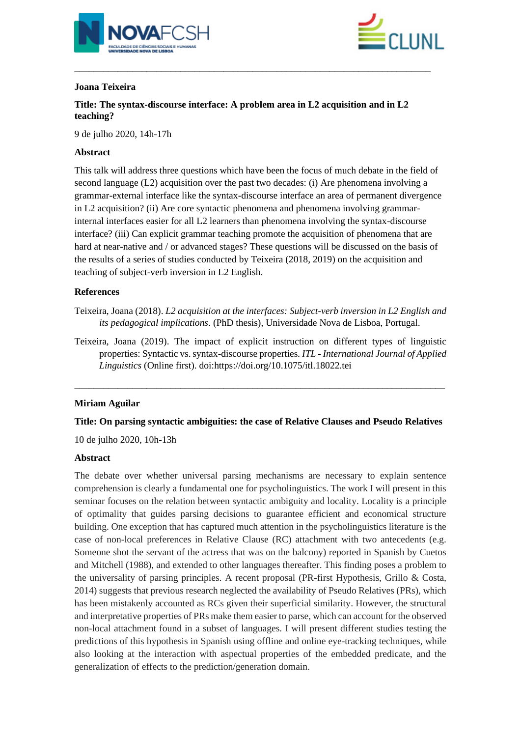



# **Joana Teixeira**

**Title: The syntax-discourse interface: A problem area in L2 acquisition and in L2 teaching?**

\_\_\_\_\_\_\_\_\_\_\_\_\_\_\_\_\_\_\_\_\_\_\_\_\_\_\_\_\_\_\_\_\_\_\_\_\_\_\_\_\_\_\_\_\_\_\_\_\_\_\_\_\_\_\_\_\_\_\_\_\_\_\_\_\_\_\_\_\_\_\_\_\_\_

9 de julho 2020, 14h-17h

# **Abstract**

This talk will address three questions which have been the focus of much debate in the field of second language (L2) acquisition over the past two decades: (i) Are phenomena involving a grammar-external interface like the syntax-discourse interface an area of permanent divergence in L2 acquisition? (ii) Are core syntactic phenomena and phenomena involving grammarinternal interfaces easier for all L2 learners than phenomena involving the syntax-discourse interface? (iii) Can explicit grammar teaching promote the acquisition of phenomena that are hard at near-native and / or advanced stages? These questions will be discussed on the basis of the results of a series of studies conducted by Teixeira (2018, 2019) on the acquisition and teaching of subject-verb inversion in L2 English.

## **References**

Teixeira, Joana (2018). *L2 acquisition at the interfaces: Subject-verb inversion in L2 English and its pedagogical implications*. (PhD thesis), Universidade Nova de Lisboa, Portugal.

Teixeira, Joana (2019). The impact of explicit instruction on different types of linguistic properties: Syntactic vs. syntax-discourse properties*. ITL - International Journal of Applied Linguistics* (Online first). doi:https://doi.org/10.1075/itl.18022.tei

# **Miriam Aguilar**

**Title: On parsing syntactic ambiguities: the case of Relative Clauses and Pseudo Relatives**

\_\_\_\_\_\_\_\_\_\_\_\_\_\_\_\_\_\_\_\_\_\_\_\_\_\_\_\_\_\_\_\_\_\_\_\_\_\_\_\_\_\_\_\_\_\_\_\_\_\_\_\_\_\_\_\_\_\_\_\_\_\_\_\_\_\_\_\_\_\_\_\_\_\_\_\_\_

10 de julho 2020, 10h-13h

### **Abstract**

The debate over whether universal parsing mechanisms are necessary to explain sentence comprehension is clearly a fundamental one for psycholinguistics. The work I will present in this seminar focuses on the relation between syntactic ambiguity and locality. Locality is a principle of optimality that guides parsing decisions to guarantee efficient and economical structure building. One exception that has captured much attention in the psycholinguistics literature is the case of non-local preferences in Relative Clause (RC) attachment with two antecedents (e.g. Someone shot the servant of the actress that was on the balcony) reported in Spanish by Cuetos and Mitchell (1988), and extended to other languages thereafter. This finding poses a problem to the universality of parsing principles. A recent proposal (PR-first Hypothesis, Grillo & Costa, 2014) suggests that previous research neglected the availability of Pseudo Relatives (PRs), which has been mistakenly accounted as RCs given their superficial similarity. However, the structural and interpretative properties of PRs make them easier to parse, which can account for the observed non-local attachment found in a subset of languages. I will present different studies testing the predictions of this hypothesis in Spanish using offline and online eye-tracking techniques, while also looking at the interaction with aspectual properties of the embedded predicate, and the generalization of effects to the prediction/generation domain.